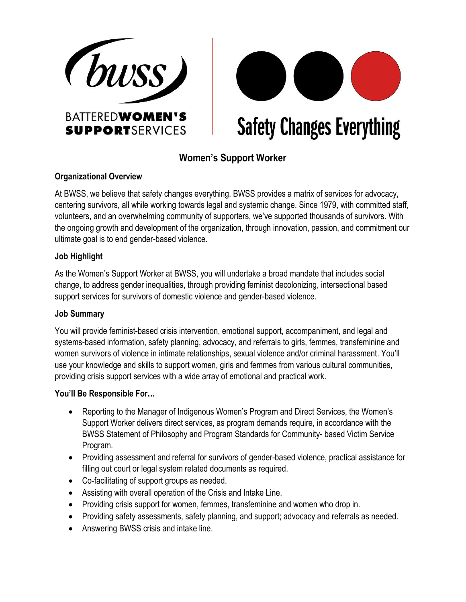



**Safety Changes Everything** 

# **Women's Support Worker**

#### **Organizational Overview**

At BWSS, we believe that safety changes everything. BWSS provides a matrix of services for advocacy, centering survivors, all while working towards legal and systemic change. Since 1979, with committed staff, volunteers, and an overwhelming community of supporters, we've supported thousands of survivors. With the ongoing growth and development of the organization, through innovation, passion, and commitment our ultimate goal is to end gender-based violence.

#### **Job Highlight**

As the Women's Support Worker at BWSS, you will undertake a broad mandate that includes social change, to address gender inequalities, through providing feminist decolonizing, intersectional based support services for survivors of domestic violence and gender-based violence.

## **Job Summary**

You will provide feminist-based crisis intervention, emotional support, accompaniment, and legal and systems-based information, safety planning, advocacy, and referrals to girls, femmes, transfeminine and women survivors of violence in intimate relationships, sexual violence and/or criminal harassment. You'll use your knowledge and skills to support women, girls and femmes from various cultural communities, providing crisis support services with a wide array of emotional and practical work.

## **You'll Be Responsible For…**

- Reporting to the Manager of Indigenous Women's Program and Direct Services, the Women's Support Worker delivers direct services, as program demands require, in accordance with the BWSS Statement of Philosophy and Program Standards for Community- based Victim Service Program.
- Providing assessment and referral for survivors of gender-based violence, practical assistance for filling out court or legal system related documents as required.
- Co-facilitating of support groups as needed.
- Assisting with overall operation of the Crisis and Intake Line.
- Providing crisis support for women, femmes, transfeminine and women who drop in.
- Providing safety assessments, safety planning, and support; advocacy and referrals as needed.
- Answering BWSS crisis and intake line.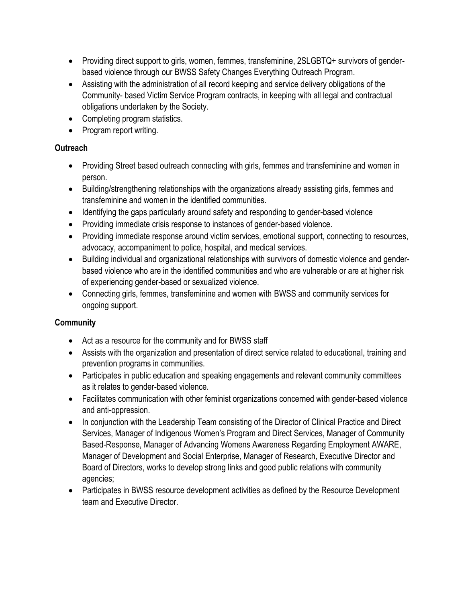- Providing direct support to girls, women, femmes, transfeminine, 2SLGBTQ + survivors of genderbased violence through our BWSS Safety Changes Everything Outreach Program.
- Assisting with the administration of all record keeping and service delivery obligations of the Community- based Victim Service Program contracts, in keeping with all legal and contractual obligations undertaken by the Society.
- Completing program statistics.
- Program report writing.

## **Outreach**

- Providing Street based outreach connecting with girls, femmes and transfeminine and women in person.
- Building/strengthening relationships with the organizations already assisting girls, femmes and transfeminine and women in the identified communities.
- Identifying the gaps particularly around safety and responding to gender-based violence
- Providing immediate crisis response to instances of gender-based violence.
- Providing immediate response around victim services, emotional support, connecting to resources, advocacy, accompaniment to police, hospital, and medical services.
- Building individual and organizational relationships with survivors of domestic violence and genderbased violence who are in the identified communities and who are vulnerable or are at higher risk of experiencing gender-based or sexualized violence.
- Connecting girls, femmes, transfeminine and women with BWSS and community services for ongoing support.

## **Community**

- Act as a resource for the community and for BWSS staff
- Assists with the organization and presentation of direct service related to educational, training and prevention programs in communities.
- Participates in public education and speaking engagements and relevant community committees as it relates to gender-based violence.
- Facilitates communication with other feminist organizations concerned with gender-based violence and anti-oppression.
- In conjunction with the Leadership Team consisting of the Director of Clinical Practice and Direct Services, Manager of Indigenous Women's Program and Direct Services, Manager of Community Based-Response, Manager of Advancing Womens Awareness Regarding Employment AWARE, Manager of Development and Social Enterprise, Manager of Research, Executive Director and Board of Directors, works to develop strong links and good public relations with community agencies;
- Participates in BWSS resource development activities as defined by the Resource Development team and Executive Director.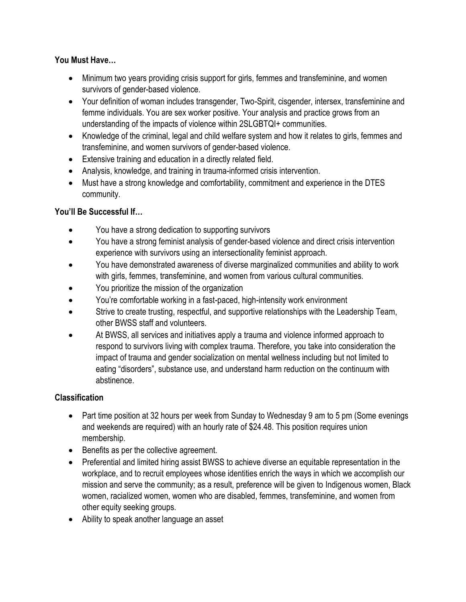## **You Must Have…**

- Minimum two years providing crisis support for girls, femmes and transfeminine, and women survivors of gender-based violence.
- Your definition of woman includes transgender, Two-Spirit, cisgender, intersex, transfeminine and femme individuals. You are sex worker positive. Your analysis and practice grows from an understanding of the impacts of violence within 2SLGBTQI+ communities.
- Knowledge of the criminal, legal and child welfare system and how it relates to girls, femmes and transfeminine, and women survivors of gender-based violence.
- Extensive training and education in a directly related field.
- Analysis, knowledge, and training in trauma-informed crisis intervention.
- Must have a strong knowledge and comfortability, commitment and experience in the DTES community.

## **You'll Be Successful If…**

- You have a strong dedication to supporting survivors
- You have a strong feminist analysis of gender-based violence and direct crisis intervention experience with survivors using an intersectionality feminist approach.
- You have demonstrated awareness of diverse marginalized communities and ability to work with girls, femmes, transfeminine, and women from various cultural communities.
- You prioritize the mission of the organization
- You're comfortable working in a fast-paced, high-intensity work environment
- Strive to create trusting, respectful, and supportive relationships with the Leadership Team, other BWSS staff and volunteers.
- At BWSS, all services and initiatives apply a trauma and violence informed approach to respond to survivors living with complex trauma. Therefore, you take into consideration the impact of trauma and gender socialization on mental wellness including but not limited to eating "disorders", substance use, and understand harm reduction on the continuum with abstinence.

## **Classification**

- Part time position at 32 hours per week from Sunday to Wednesday 9 am to 5 pm (Some evenings) and weekends are required) with an hourly rate of \$24.48. This position requires union membership.
- Benefits as per the collective agreement.
- Preferential and limited hiring assist BWSS to achieve diverse an equitable representation in the workplace, and to recruit employees whose identities enrich the ways in which we accomplish our mission and serve the community; as a result, preference will be given to Indigenous women, Black women, racialized women, women who are disabled, femmes, transfeminine, and women from other equity seeking groups.
- Ability to speak another language an asset